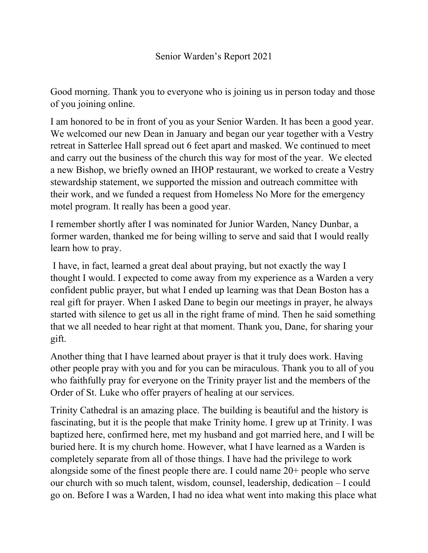Good morning. Thank you to everyone who is joining us in person today and those of you joining online.

I am honored to be in front of you as your Senior Warden. It has been a good year. We welcomed our new Dean in January and began our year together with a Vestry retreat in Satterlee Hall spread out 6 feet apart and masked. We continued to meet and carry out the business of the church this way for most of the year. We elected a new Bishop, we briefly owned an IHOP restaurant, we worked to create a Vestry stewardship statement, we supported the mission and outreach committee with their work, and we funded a request from Homeless No More for the emergency motel program. It really has been a good year.

I remember shortly after I was nominated for Junior Warden, Nancy Dunbar, a former warden, thanked me for being willing to serve and said that I would really learn how to pray.

 I have, in fact, learned a great deal about praying, but not exactly the way I thought I would. I expected to come away from my experience as a Warden a very confident public prayer, but what I ended up learning was that Dean Boston has a real gift for prayer. When I asked Dane to begin our meetings in prayer, he always started with silence to get us all in the right frame of mind. Then he said something that we all needed to hear right at that moment. Thank you, Dane, for sharing your gift.

Another thing that I have learned about prayer is that it truly does work. Having other people pray with you and for you can be miraculous. Thank you to all of you who faithfully pray for everyone on the Trinity prayer list and the members of the Order of St. Luke who offer prayers of healing at our services.

Trinity Cathedral is an amazing place. The building is beautiful and the history is fascinating, but it is the people that make Trinity home. I grew up at Trinity. I was baptized here, confirmed here, met my husband and got married here, and I will be buried here. It is my church home. However, what I have learned as a Warden is completely separate from all of those things. I have had the privilege to work alongside some of the finest people there are. I could name 20+ people who serve our church with so much talent, wisdom, counsel, leadership, dedication – I could go on. Before I was a Warden, I had no idea what went into making this place what